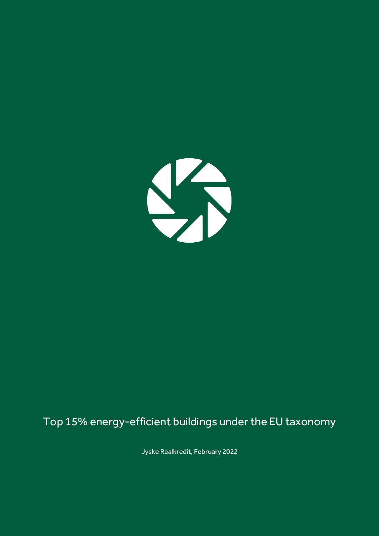

# Top 15% energy-efficient buildings under the EU taxonomy

Jyske Realkredit, February 2022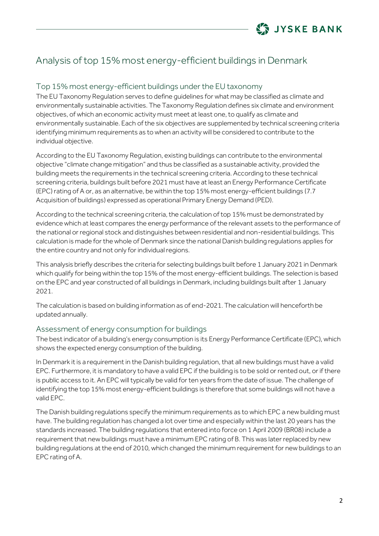

# Analysis of top 15% most energy-efficient buildings in Denmark

## Top 15% most energy-efficient buildings under the EU taxonomy

The EU Taxonomy Regulation serves to define guidelines for what may be classified as climate and environmentally sustainable activities. The Taxonomy Regulation defines six climate and environment objectives, of which an economic activity must meet at least one, to qualify as climate and environmentally sustainable. Each of the six objectives are supplemented by technical screening criteria identifying minimum requirements as to when an activity will be considered to contribute to the individual objective.

According to the EU Taxonomy Regulation, existing buildings can contribute to the environmental objective "climate change mitigation" and thus be classified as a sustainable activity, provided the building meets the requirements in the technical screening criteria. According to these technical screening criteria, buildings built before 2021 must have at least an Energy Performance Certificate (EPC) rating of A or, as an alternative, be within the top 15% most energy-efficient buildings (7.7 Acquisition of buildings) expressed as operational Primary Energy Demand (PED).

According to the technical screening criteria, the calculation of top 15% must be demonstrated by evidence which at least compares the energy performance of the relevant assets to the performance of the national or regional stock and distinguishes between residential and non-residential buildings. This calculation is made for the whole of Denmark since the national Danish building regulations applies for the entire country and not only for individual regions.

This analysis briefly describes the criteria for selecting buildings built before 1 January 2021 in Denmark which qualify for being within the top 15% of the most energy-efficient buildings. The selection is based on the EPC and year constructed of all buildings in Denmark, including buildings built after 1 January 2021.

The calculation is based on building information as of end-2021. The calculation will henceforth be updated annually.

#### Assessment of energy consumption for buildings

The best indicator of a building's energy consumption is its Energy Performance Certificate (EPC), which shows the expected energy consumption of the building.

In Denmark it is a requirement in the Danish building regulation, that all new buildings must have a valid EPC. Furthermore, it is mandatory to have a valid EPC if the building is to be sold or rented out, or if there is public access to it. An EPC will typically be valid for ten years from the date of issue. The challenge of identifying the top 15% most energy-efficient buildings is therefore that some buildings will not have a valid EPC.

The Danish building regulations specify the minimum requirements as to which EPC a new building must have. The building regulation has changed a lot over time and especially within the last 20 years has the standards increased. The building regulations that entered into force on 1 April 2009 (BR08) include a requirement that new buildings must have a minimum EPC rating of B. This was later replaced by new building regulations at the end of 2010, which changed the minimum requirement for new buildings to an EPC rating of A.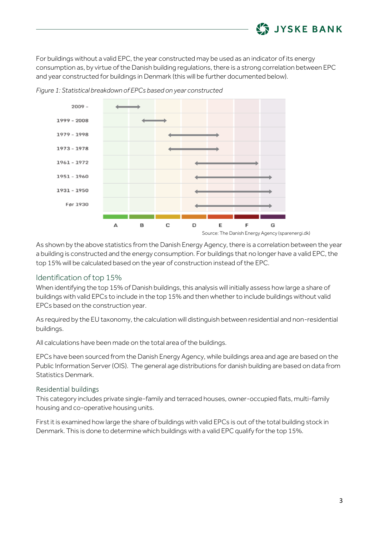

For buildings without a valid EPC, the year constructed may be used as an indicator of its energy consumption as, by virtue of the Danish building regulations, there is a strong correlation between EPC and year constructed for buildings in Denmark (this will be further documented below).



*Figure 1: Statistical breakdown of EPCs based on year constructed*

As shown by the above statistics from the Danish Energy Agency, there is a correlation between the year a building is constructed and the energy consumption. For buildings that no longer have a valid EPC, the top 15% will be calculated based on the year of construction instead of the EPC.

#### Identification of top 15%

When identifying the top 15% of Danish buildings, this analysis will initially assess how large a share of buildings with valid EPCs to include in the top 15% and then whether to include buildings without valid EPCs based on the construction year.

As required by the EU taxonomy, the calculation will distinguish between residential and non-residential buildings.

All calculations have been made on the total area of the buildings.

EPCs have been sourced from the Danish Energy Agency, while buildings area and age are based on the Public Information Server (OIS). The general age distributions for danish building are based on data from Statistics Denmark.

#### Residential buildings

This category includes private single-family and terraced houses, owner-occupied flats, multi-family housing and co-operative housing units.

First it is examined how large the share of buildings with valid EPCs is out of the total building stock in Denmark. This is done to determine which buildings with a valid EPC qualify for the top 15%.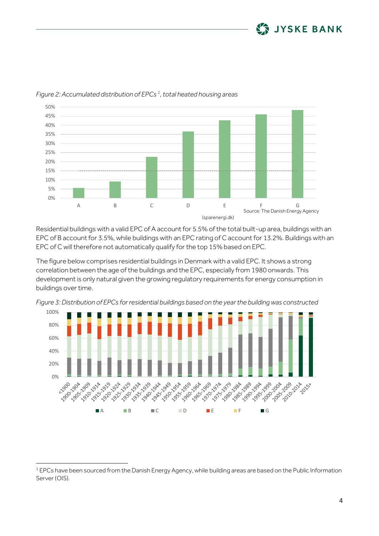



*Figure 2: Accumulated distribution of EPCs <sup>1</sup> , total heated housing areas*

Residential buildings with a valid EPC of A account for 5.5% of the total built-up area, buildings with an EPC of B account for 3.5%, while buildings with an EPC rating of C account for 13.2%. Buildings with an EPC of C will therefore not automatically qualify for the top 15% based on EPC.

The figure below comprises residential buildings in Denmark with a valid EPC. It shows a strong correlation between the age of the buildings and the EPC, especially from 1980 onwards. This development is only natural given the growing regulatory requirements for energy consumption in buildings over time.





 $1$  EPCs have been sourced from the Danish Energy Agency, while building areas are based on the Public Information Server (OIS).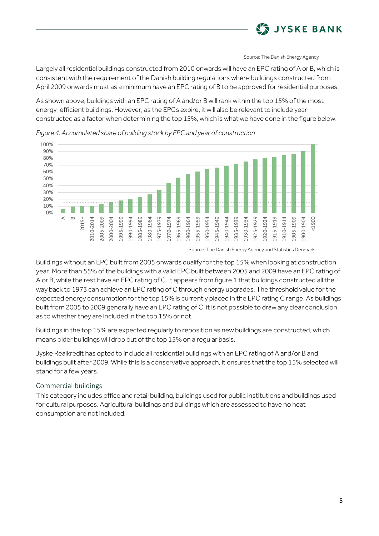

Source: The Danish Energy Agency

Largely all residential buildings constructed from 2010 onwards will have an EPC rating of A or B, which is consistent with the requirement of the Danish building regulations where buildings constructed from April 2009 onwards must as a minimum have an EPC rating of B to be approved for residential purposes.

As shown above, buildings with an EPC rating of A and/or B will rank within the top 15% of the most energy-efficient buildings. However, as the EPCs expire, it will also be relevant to include year constructed as a factor when determining the top 15%, which is what we have done in the figure below.



*Figure 4: Accumulated share of building stock by EPC and year of construction*

Buildings without an EPC built from 2005 onwards qualify for the top 15% when looking at construction year. More than 55% of the buildings with a valid EPC built between 2005 and 2009 have an EPC rating of A or B, while the rest have an EPC rating of C. It appears from figure 1 that buildings constructed all the way back to 1973 can achieve an EPC rating of C through energy upgrades. The threshold value for the expected energy consumption for the top 15% is currently placed in the EPC rating C range. As buildings built from 2005 to 2009 generally have an EPC rating of C, it is not possible to draw any clear conclusion as to whether they are included in the top 15% or not.

Buildings in the top 15% are expected regularly to reposition as new buildings are constructed, which means older buildings will drop out of the top 15% on a regular basis.

Jyske Realkredit has opted to include all residential buildings with an EPC rating of A and/or B and buildings built after 2009. While this is a conservative approach, it ensures that the top 15% selected will stand for a few years.

### Commercial buildings

This category includes office and retail building, buildings used for public institutions and buildings used for cultural purposes. Agricultural buildings and buildings which are assessed to have no heat consumption are not included.

Source: The Danish Energy Agency and Statistics Denmark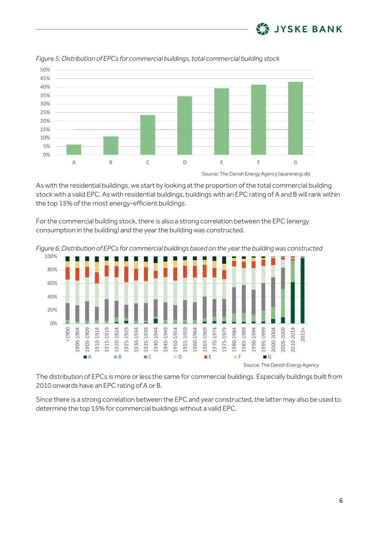



*Figure 5: Distribution of EPCs for commercial buildings, total commercial building stock*

As with the residential buildings, we start by looking at the proportion of the total commercial building stock with a valid EPC. As with residential buildings, buildings with an EPC rating of A and B will rank within the top 15% of the most energy-efficient buildings.

For the commercial building stock, there is also a strong correlation between the EPC (energy consumption in the building) and the year the building was constructed.



*Figure 6: Distribution of EPCs for commercial buildings based on the year the building was constructed*

The distribution of EPCs is more or less the same for commercial buildings. Especially buildings built from 2010 onwards have an EPC rating of A or B.

Since there is a strong correlation between the EPC and year constructed, the latter may also be used to determine the top 15% for commercial buildings without a valid EPC.